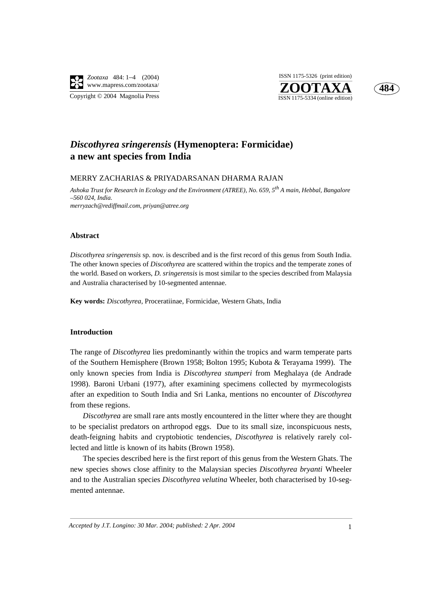

Copyright © 2004 Magnolia Press





# *Discothyrea sringerensis* **(Hymenoptera: Formicidae) a new ant species from India**

MERRY ZACHARIAS & PRIYADARSANAN DHARMA RAJAN

*Ashoka Trust for Research in Ecology and the Environment (ATREE), No. 659, 5th A main, Hebbal, Bangalore –560 024, India. merryzach@rediffmail.com, priyan@atree.org*

#### **Abstract**

*Discothyrea sringerensis* sp. nov. is described and is the first record of this genus from South India. The other known species of *Discothyrea* are scattered within the tropics and the temperate zones of the world. Based on workers, *D. sringerensis* is most similar to the species described from Malaysia and Australia characterised by 10-segmented antennae.

**Key words:** *Discothyrea*, Proceratiinae, Formicidae, Western Ghats, India

# **Introduction**

The range of *Discothyrea* lies predominantly within the tropics and warm temperate parts of the Southern Hemisphere (Brown 1958; Bolton 1995; Kubota & Terayama 1999). The only known species from India is *Discothyrea stumperi* from Meghalaya (de Andrade 1998). Baroni Urbani (1977), after examining specimens collected by myrmecologists after an expedition to South India and Sri Lanka, mentions no encounter of *Discothyrea* from these regions.

*Discothyrea* are small rare ants mostly encountered in the litter where they are thought to be specialist predators on arthropod eggs. Due to its small size, inconspicuous nests, death-feigning habits and cryptobiotic tendencies, *Discothyrea* is relatively rarely collected and little is known of its habits (Brown 1958).

The species described here is the first report of this genus from the Western Ghats. The new species shows close affinity to the Malaysian species *Discothyrea bryanti* Wheeler and to the Australian species *Discothyrea velutina* Wheeler, both characterised by 10-segmented antennae.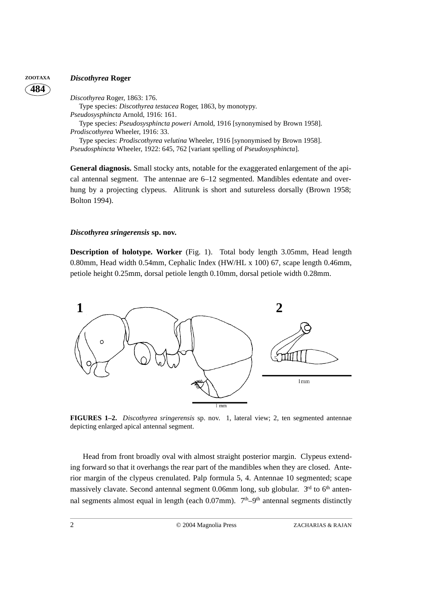# **484**

# **ZOOTAXA** *Discothyrea* **Roger**

*Discothyrea* Roger, 1863: 176. Type species: *Discothyrea testacea* Roger*,* 1863, by monotypy. *Pseudosysphincta* Arnold, 1916: 161. Type species: *Pseudosysphincta poweri* Arnold, 1916 [synonymised by Brown 1958]. *Prodiscothyrea* Wheeler, 1916: 33. Type species: *Prodiscothyrea velutina* Wheeler, 1916 [synonymised by Brown 1958]. *Pseudosphincta* Wheeler, 1922: 645, 762 [variant spelling of *Pseudosysphincta*].

**General diagnosis.** Small stocky ants, notable for the exaggerated enlargement of the apical antennal segment. The antennae are 6–12 segmented. Mandibles edentate and overhung by a projecting clypeus. Alitrunk is short and sutureless dorsally (Brown 1958; Bolton 1994).

# *Discothyrea sringerensis* **sp. nov.**

**Description of holotype. Worker** (Fig. 1).Total body length 3.05mm, Head length 0.80mm, Head width 0.54mm, Cephalic Index (HW/HL x 100) 67, scape length 0.46mm, petiole height 0.25mm, dorsal petiole length 0.10mm, dorsal petiole width 0.28mm.



**FIGURES 1–2.** *Discothyrea sringerensis* sp. nov. 1, lateral view; 2, ten segmented antennae depicting enlarged apical antennal segment.

Head from front broadly oval with almost straight posterior margin. Clypeus extending forward so that it overhangs the rear part of the mandibles when they are closed. Anterior margin of the clypeus crenulated. Palp formula 5, 4. Antennae 10 segmented; scape massively clavate. Second antennal segment 0.06mm long, sub globular.  $3<sup>rd</sup>$  to 6<sup>th</sup> antennal segments almost equal in length (each  $0.07$ mm).  $7<sup>th</sup>-9<sup>th</sup>$  antennal segments distinctly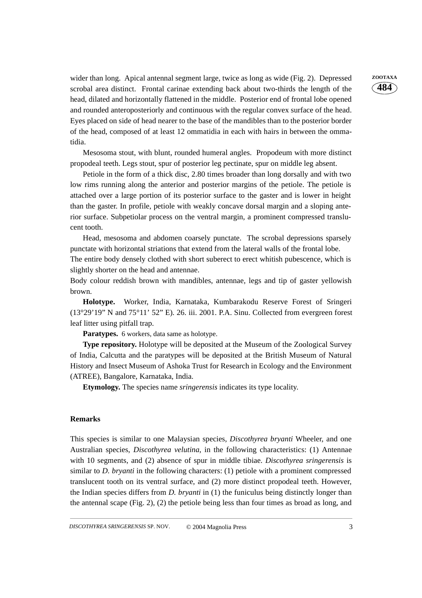wider than long. Apical antennal segment large, twice as long as wide (Fig. 2). Depressed **ZOOTAXA** scrobal area distinct. Frontal carinae extending back about two-thirds the length of the head, dilated and horizontally flattened in the middle. Posterior end of frontal lobe opened and rounded anteroposteriorly and continuous with the regular convex surface of the head. Eyes placed on side of head nearer to the base of the mandibles than to the posterior border of the head, composed of at least 12 ommatidia in each with hairs in between the ommatidia.

Mesosoma stout, with blunt, rounded humeral angles. Propodeum with more distinct propodeal teeth. Legs stout, spur of posterior leg pectinate, spur on middle leg absent.

Petiole in the form of a thick disc, 2.80 times broader than long dorsally and with two low rims running along the anterior and posterior margins of the petiole. The petiole is attached over a large portion of its posterior surface to the gaster and is lower in height than the gaster. In profile, petiole with weakly concave dorsal margin and a sloping anterior surface. Subpetiolar process on the ventral margin, a prominent compressed translucent tooth.

Head, mesosoma and abdomen coarsely punctate. The scrobal depressions sparsely punctate with horizontal striations that extend from the lateral walls of the frontal lobe.

The entire body densely clothed with short suberect to erect whitish pubescence, which is slightly shorter on the head and antennae.

Body colour reddish brown with mandibles, antennae, legs and tip of gaster yellowish brown.

**Holotype.** Worker, India, Karnataka, Kumbarakodu Reserve Forest of Sringeri (13°29'19" N and 75°11' 52" E). 26. iii. 2001. P.A. Sinu. Collected from evergreen forest leaf litter using pitfall trap.

**Paratypes.** 6 workers, data same as holotype.

**Type repository.** Holotype will be deposited at the Museum of the Zoological Survey of India, Calcutta and the paratypes will be deposited at the British Museum of Natural History and Insect Museum of Ashoka Trust for Research in Ecology and the Environment (ATREE), Bangalore, Karnataka, India.

**Etymology.** The species name *sringerensis* indicates its type locality.

# **Remarks**

This species is similar to one Malaysian species, *Discothyrea bryanti* Wheeler, and one Australian species, *Discothyrea velutina*, in the following characteristics: (1) Antennae with 10 segments, and (2) absence of spur in middle tibiae. *Discothyrea sringerensis* is similar to *D. bryanti* in the following characters: (1) petiole with a prominent compressed translucent tooth on its ventral surface, and (2) more distinct propodeal teeth. However, the Indian species differs from *D. bryanti* in (1) the funiculus being distinctly longer than the antennal scape (Fig. 2), (2) the petiole being less than four times as broad as long, and **484**